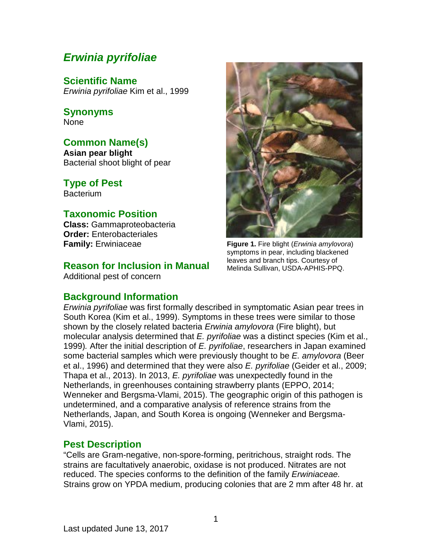# *Erwinia pyrifoliae*

**Scientific Name** *Erwinia pyrifoliae* Kim et al., 1999

**Synonyms** None

## **Common Name(s)**

**Asian pear blight** Bacterial shoot blight of pear

**Type of Pest Bacterium** 

## **Taxonomic Position**

**Class:** Gammaproteobacteria **Order:** Enterobacteriales **Family:** Erwiniaceae

## **Reason for Inclusion in Manual**

Additional pest of concern

## **Background Information**



**Figure 1.** Fire blight (*Erwinia amylovora*) symptoms in pear, including blackened leaves and branch tips. Courtesy of Melinda Sullivan, USDA-APHIS-PPQ.

*Erwinia pyrifoliae* was first formally described in symptomatic Asian pear trees in South Korea (Kim et al., 1999). Symptoms in these trees were similar to those shown by the closely related bacteria *Erwinia amylovora* (Fire blight), but molecular analysis determined that *E. pyrifoliae* was a distinct species (Kim et al., 1999)*.* After the initial description of *E. pyrifoliae*, researchers in Japan examined some bacterial samples which were previously thought to be *E. amylovora* (Beer et al., 1996) and determined that they were also *E. pyrifoliae* (Geider et al., 2009; Thapa et al., 2013). In 2013, *E. pyrifoliae* was unexpectedly found in the Netherlands, in greenhouses containing strawberry plants (EPPO, 2014; Wenneker and Bergsma-Vlami, 2015). The geographic origin of this pathogen is undetermined, and a comparative analysis of reference strains from the Netherlands, Japan, and South Korea is ongoing (Wenneker and Bergsma-Vlami, 2015).

## **Pest Description**

"Cells are Gram-negative, non-spore-forming, peritrichous, straight rods. The strains are facultatively anaerobic, oxidase is not produced. Nitrates are not reduced. The species conforms to the definition of the family *Erwiniaceae.*  Strains grow on YPDA medium, producing colonies that are 2 mm after 48 hr. at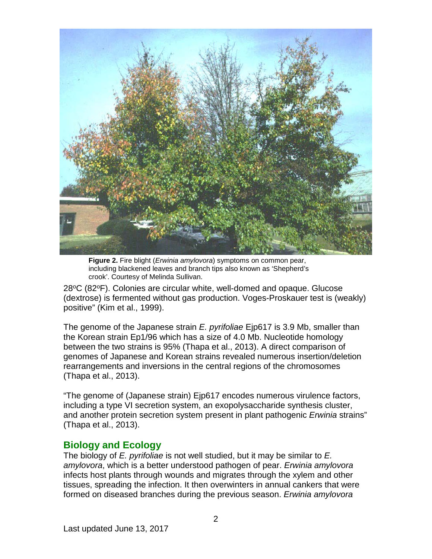

**Figure 2.** Fire blight (*Erwinia amylovora*) symptoms on common pear, including blackened leaves and branch tips also known as 'Shepherd's crook'. Courtesy of Melinda Sullivan.

 $28^{\circ}$ C (82 $^{\circ}$ F). Colonies are circular white, well-domed and opaque. Glucose (dextrose) is fermented without gas production. Voges-Proskauer test is (weakly) positive" (Kim et al., 1999).

The genome of the Japanese strain *E. pyrifoliae* Ejp617 is 3.9 Mb, smaller than the Korean strain Ep1/96 which has a size of 4.0 Mb. Nucleotide homology between the two strains is 95% (Thapa et al., 2013). A direct comparison of genomes of Japanese and Korean strains revealed numerous insertion/deletion rearrangements and inversions in the central regions of the chromosomes (Thapa et al., 2013).

"The genome of (Japanese strain) Ejp617 encodes numerous virulence factors, including a type VI secretion system, an exopolysaccharide synthesis cluster, and another protein secretion system present in plant pathogenic *Erwinia* strains" (Thapa et al., 2013).

### **Biology and Ecology**

The biology of *E. pyrifoliae* is not well studied, but it may be similar to *E. amylovora*, which is a better understood pathogen of pear. *Erwinia amylovora* infects host plants through wounds and migrates through the xylem and other tissues, spreading the infection. It then overwinters in annual cankers that were formed on diseased branches during the previous season. *Erwinia amylovora*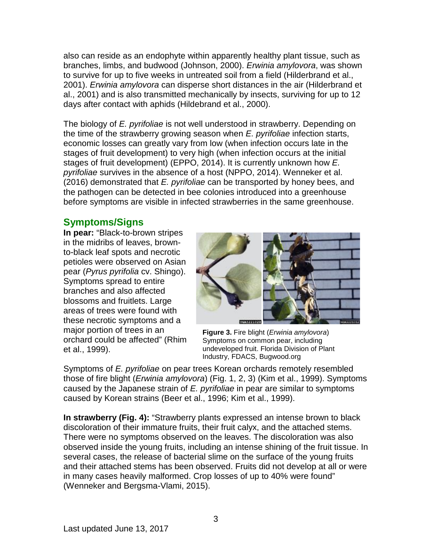also can reside as an endophyte within apparently healthy plant tissue, such as branches, limbs, and budwood (Johnson, 2000). *Erwinia amylovora*, was shown to survive for up to five weeks in untreated soil from a field (Hilderbrand et al., 2001). *Erwinia amylovora* can disperse short distances in the air (Hilderbrand et al., 2001) and is also transmitted mechanically by insects, surviving for up to 12 days after contact with aphids (Hildebrand et al., 2000).

The biology of *E. pyrifoliae* is not well understood in strawberry. Depending on the time of the strawberry growing season when *E. pyrifoliae* infection starts, economic losses can greatly vary from low (when infection occurs late in the stages of fruit development) to very high (when infection occurs at the initial stages of fruit development) (EPPO, 2014). It is currently unknown how *E. pyrifoliae* survives in the absence of a host (NPPO, 2014). Wenneker et al. (2016) demonstrated that *E. pyrifoliae* can be transported by honey bees, and the pathogen can be detected in bee colonies introduced into a greenhouse before symptoms are visible in infected strawberries in the same greenhouse.

## **Symptoms/Signs**

**In pear:** "Black-to-brown stripes in the midribs of leaves, brownto-black leaf spots and necrotic petioles were observed on Asian pear (*Pyrus pyrifolia* cv. Shingo). Symptoms spread to entire branches and also affected blossoms and fruitlets. Large areas of trees were found with these necrotic symptoms and a major portion of trees in an orchard could be affected" (Rhim et al., 1999).



**Figure 3.** Fire blight (*Erwinia amylovora*) Symptoms on common pear, including undeveloped fruit. Florida Division of Plant Industry, FDACS, Bugwood.org

Symptoms of *E. pyrifoliae* on pear trees Korean orchards remotely resembled those of fire blight (*Erwinia amylovora*) (Fig. 1, 2, 3) (Kim et al., 1999). Symptoms caused by the Japanese strain of *E. pyrifoliae* in pear are similar to symptoms caused by Korean strains (Beer et al., 1996; Kim et al., 1999).

**In strawberry (Fig. 4):** "Strawberry plants expressed an intense brown to black discoloration of their immature fruits, their fruit calyx, and the attached stems. There were no symptoms observed on the leaves. The discoloration was also observed inside the young fruits, including an intense shining of the fruit tissue. In several cases, the release of bacterial slime on the surface of the young fruits and their attached stems has been observed. Fruits did not develop at all or were in many cases heavily malformed. Crop losses of up to 40% were found" (Wenneker and Bergsma-Vlami, 2015).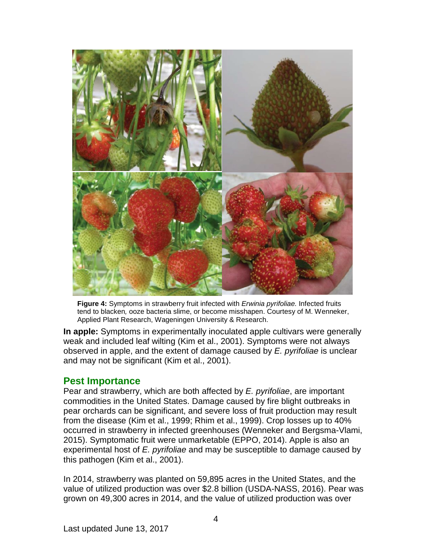

**Figure 4:** Symptoms in strawberry fruit infected with *Erwinia pyrifoliae.* Infected fruits tend to blacken*,* ooze bacteria slime, or become misshapen. Courtesy of M. Wenneker, Applied Plant Research, Wageningen University & Research.

**In apple:** Symptoms in experimentally inoculated apple cultivars were generally weak and included leaf wilting (Kim et al., 2001). Symptoms were not always observed in apple, and the extent of damage caused by *E. pyrifoliae* is unclear and may not be significant (Kim et al., 2001).

### **Pest Importance**

Pear and strawberry, which are both affected by *E. pyrifoliae*, are important commodities in the United States. Damage caused by fire blight outbreaks in pear orchards can be significant, and severe loss of fruit production may result from the disease (Kim et al., 1999; Rhim et al., 1999). Crop losses up to 40% occurred in strawberry in infected greenhouses (Wenneker and Bergsma-Vlami, 2015). Symptomatic fruit were unmarketable (EPPO, 2014). Apple is also an experimental host of *E. pyrifoliae* and may be susceptible to damage caused by this pathogen (Kim et al., 2001).

In 2014, strawberry was planted on 59,895 acres in the United States, and the value of utilized production was over \$2.8 billion (USDA-NASS, 2016). Pear was grown on 49,300 acres in 2014, and the value of utilized production was over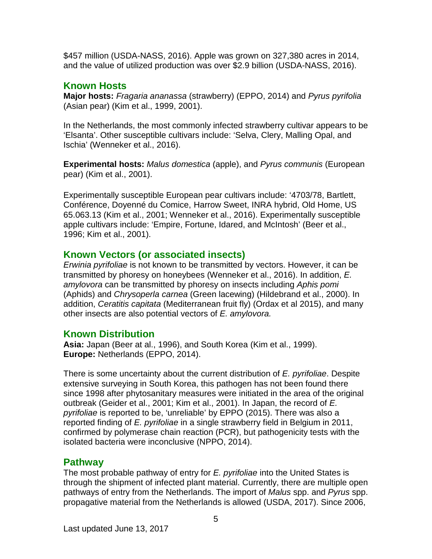\$457 million (USDA-NASS, 2016). Apple was grown on 327,380 acres in 2014, and the value of utilized production was over \$2.9 billion (USDA-NASS, 2016).

## **Known Hosts**

**Major hosts:** *Fragaria ananassa* (strawberry) (EPPO, 2014) and *Pyrus pyrifolia* (Asian pear) (Kim et al., 1999, 2001).

In the Netherlands, the most commonly infected strawberry cultivar appears to be 'Elsanta'. Other susceptible cultivars include: 'Selva, Clery, Malling Opal, and Ischia' (Wenneker et al., 2016).

**Experimental hosts:** *Malus domestica* (apple), and *Pyrus communis* (European pear) (Kim et al., 2001).

Experimentally susceptible European pear cultivars include: '4703/78, Bartlett, Conférence, Doyenné du Comice, Harrow Sweet, INRA hybrid, Old Home, US 65.063.13 (Kim et al., 2001; Wenneker et al., 2016). Experimentally susceptible apple cultivars include: 'Empire, Fortune, Idared, and McIntosh' (Beer et al., 1996; Kim et al., 2001).

## **Known Vectors (or associated insects)**

*Erwinia pyrifoliae* is not known to be transmitted by vectors. However, it can be transmitted by phoresy on honeybees (Wenneker et al., 2016). In addition, *E. amylovora* can be transmitted by phoresy on insects including *Aphis pomi* (Aphids) and *Chrysoperla carnea* (Green lacewing) (Hildebrand et al., 2000). In addition, *Ceratitis capitata* (Mediterranean fruit fly) (Ordax et al 2015), and many other insects are also potential vectors of *E. amylovora.*

## **Known Distribution**

**Asia:** Japan (Beer at al., 1996), and South Korea (Kim et al., 1999). **Europe:** Netherlands (EPPO, 2014).

There is some uncertainty about the current distribution of *E. pyrifoliae*. Despite extensive surveying in South Korea, this pathogen has not been found there since 1998 after phytosanitary measures were initiated in the area of the original outbreak (Geider et al., 2001; Kim et al., 2001). In Japan, the record of *E. pyrifoliae* is reported to be, 'unreliable' by EPPO (2015). There was also a reported finding of *E. pyrifoliae* in a single strawberry field in Belgium in 2011, confirmed by polymerase chain reaction (PCR), but pathogenicity tests with the isolated bacteria were inconclusive (NPPO, 2014).

## **Pathway**

The most probable pathway of entry for *E. pyrifoliae* into the United States is through the shipment of infected plant material. Currently, there are multiple open pathways of entry from the Netherlands. The import of *Malus* spp. and *Pyrus* spp. propagative material from the Netherlands is allowed (USDA, 2017). Since 2006,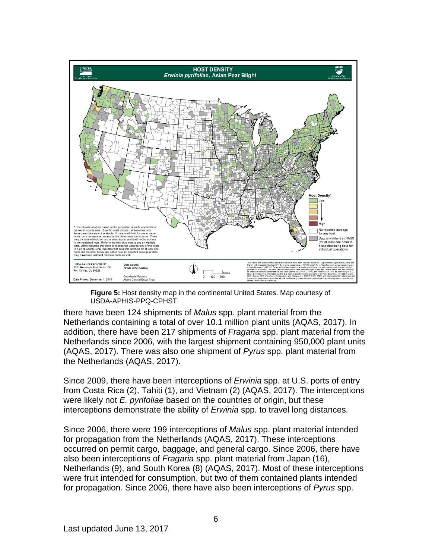

**Figure 5:** Host density map in the continental United States. Map courtesy of USDA-APHIS-PPQ-CPHST.

there have been 124 shipments of *Malus* spp. plant material from the Netherlands containing a total of over 10.1 million plant units (AQAS, 2017). In addition, there have been 217 shipments of *Fragaria* spp. plant material from the Netherlands since 2006, with the largest shipment containing 950,000 plant units (AQAS, 2017). There was also one shipment of *Pyrus* spp. plant material from the Netherlands (AQAS, 2017).

Since 2009, there have been interceptions of *Erwinia* spp. at U.S. ports of entry from Costa Rica (2), Tahiti (1), and Vietnam (2) (AQAS, 2017). The interceptions were likely not *E. pyrifoliae* based on the countries of origin, but these interceptions demonstrate the ability of *Erwinia* spp. to travel long distances.

Since 2006, there were 199 interceptions of *Malus* spp. plant material intended for propagation from the Netherlands (AQAS, 2017). These interceptions occurred on permit cargo, baggage, and general cargo. Since 2006, there have also been interceptions of *Fragaria* spp. plant material from Japan (16), Netherlands (9), and South Korea (8) (AQAS, 2017). Most of these interceptions were fruit intended for consumption, but two of them contained plants intended for propagation. Since 2006, there have also been interceptions of *Pyrus* spp.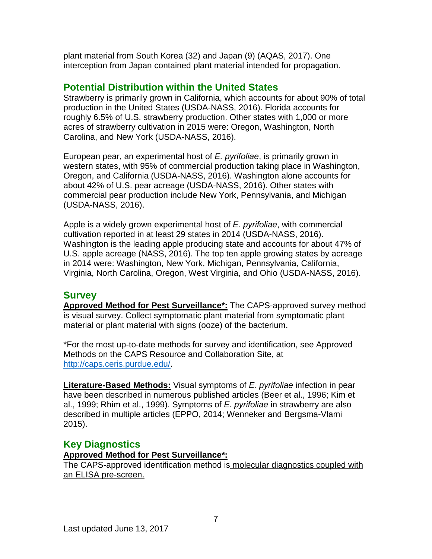plant material from South Korea (32) and Japan (9) (AQAS, 2017). One interception from Japan contained plant material intended for propagation.

## **Potential Distribution within the United States**

Strawberry is primarily grown in California, which accounts for about 90% of total production in the United States (USDA-NASS, 2016). Florida accounts for roughly 6.5% of U.S. strawberry production. Other states with 1,000 or more acres of strawberry cultivation in 2015 were: Oregon, Washington, North Carolina, and New York (USDA-NASS, 2016).

European pear, an experimental host of *E. pyrifoliae*, is primarily grown in western states, with 95% of commercial production taking place in Washington, Oregon, and California (USDA-NASS, 2016). Washington alone accounts for about 42% of U.S. pear acreage (USDA-NASS, 2016). Other states with commercial pear production include New York, Pennsylvania, and Michigan (USDA-NASS, 2016).

Apple is a widely grown experimental host of *E. pyrifoliae*, with commercial cultivation reported in at least 29 states in 2014 (USDA-NASS, 2016). Washington is the leading apple producing state and accounts for about 47% of U.S. apple acreage (NASS, 2016). The top ten apple growing states by acreage in 2014 were: Washington, New York, Michigan, Pennsylvania, California, Virginia, North Carolina, Oregon, West Virginia, and Ohio (USDA-NASS, 2016).

### **Survey**

**Approved Method for Pest Surveillance\*:** The CAPS-approved survey method is visual survey. Collect symptomatic plant material from symptomatic plant material or plant material with signs (ooze) of the bacterium.

\*For the most up-to-date methods for survey and identification, see Approved Methods on the CAPS Resource and Collaboration Site, at [http://caps.ceris.purdue.edu/.](http://caps.ceris.purdue.edu/)

**Literature-Based Methods:** Visual symptoms of *E. pyrifoliae* infection in pear have been described in numerous published articles (Beer et al., 1996; Kim et al., 1999; Rhim et al., 1999). Symptoms of *E. pyrifoliae* in strawberry are also described in multiple articles (EPPO, 2014; Wenneker and Bergsma-Vlami 2015).

## **Key Diagnostics**

#### **Approved Method for Pest Surveillance\*:**

The CAPS-approved identification method is molecular diagnostics coupled with an ELISA pre-screen.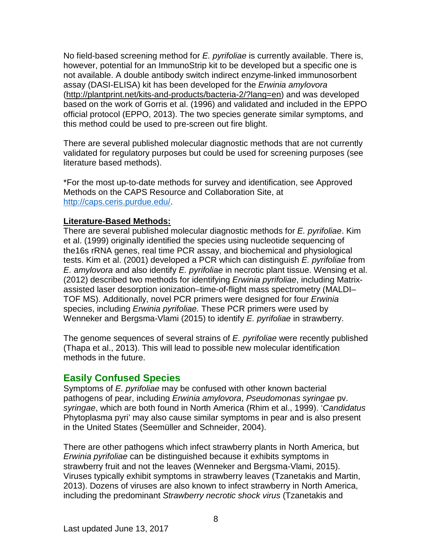No field-based screening method for *E. pyrifoliae* is currently available. There is, however, potential for an ImmunoStrip kit to be developed but a specific one is not available. A double antibody switch indirect enzyme-linked immunosorbent assay (DASI-ELISA) kit has been developed for the *Erwinia amylovora* [\(http://plantprint.net/kits-and-products/bacteria-2/?lang=en\)](http://plantprint.net/kits-and-products/bacteria-2/?lang=en) and was developed based on the work of Gorris et al. (1996) and validated and included in the EPPO official protocol (EPPO, 2013). The two species generate similar symptoms, and this method could be used to pre-screen out fire blight.

There are several published molecular diagnostic methods that are not currently validated for regulatory purposes but could be used for screening purposes (see literature based methods).

\*For the most up-to-date methods for survey and identification, see Approved Methods on the CAPS Resource and Collaboration Site, at [http://caps.ceris.purdue.edu/.](http://caps.ceris.purdue.edu/)

#### **Literature-Based Methods:**

There are several published molecular diagnostic methods for *E. pyrifoliae*. Kim et al. (1999) originally identified the species using nucleotide sequencing of the16s rRNA genes, real time PCR assay, and biochemical and physiological tests. Kim et al. (2001) developed a PCR which can distinguish *E. pyrifoliae* from *E. amylovora* and also identify *E. pyrifoliae* in necrotic plant tissue. Wensing et al. (2012) described two methods for identifying *Erwinia pyrifoliae*, including Matrixassisted laser desorption ionization–time-of-flight mass spectrometry (MALDI– TOF MS). Additionally, novel PCR primers were designed for four *Erwinia* species, including *Erwinia pyrifoliae.* These PCR primers were used by Wenneker and Bergsma-Vlami (2015) to identify *E. pyrifoliae* in strawberry.

The genome sequences of several strains of *E. pyrifoliae* were recently published (Thapa et al., 2013). This will lead to possible new molecular identification methods in the future.

## **Easily Confused Species**

Symptoms of *E. pyrifoliae* may be confused with other known bacterial pathogens of pear, including *Erwinia amylovora*, *Pseudomonas syringae* pv. *syringae*, which are both found in North America (Rhim et al., 1999). '*Candidatus* Phytoplasma pyri' may also cause similar symptoms in pear and is also present in the United States (Seemüller and Schneider, 2004).

There are other pathogens which infect strawberry plants in North America, but *Erwinia pyrifoliae* can be distinguished because it exhibits symptoms in strawberry fruit and not the leaves (Wenneker and Bergsma-Vlami, 2015). Viruses typically exhibit symptoms in strawberry leaves (Tzanetakis and Martin, 2013). Dozens of viruses are also known to infect strawberry in North America, including the predominant *Strawberry necrotic shock virus* (Tzanetakis and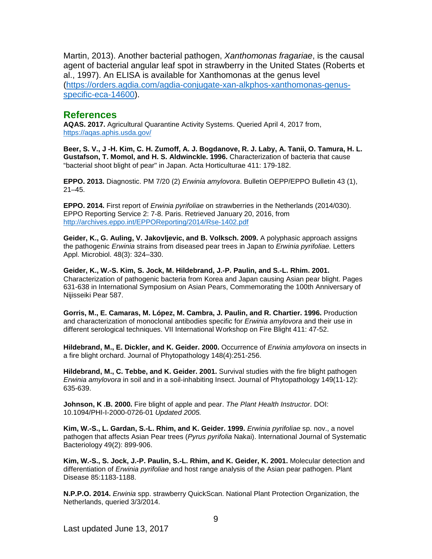Martin, 2013). Another bacterial pathogen, *Xanthomonas fragariae*, is the causal agent of bacterial angular leaf spot in strawberry in the United States (Roberts et al., 1997). An ELISA is available for Xanthomonas at the genus level [\(https://orders.agdia.com/agdia-conjugate-xan-alkphos-xanthomonas-genus](https://orders.agdia.com/agdia-conjugate-xan-alkphos-xanthomonas-genus-specific-eca-14600)[specific-eca-14600\)](https://orders.agdia.com/agdia-conjugate-xan-alkphos-xanthomonas-genus-specific-eca-14600).

#### **References**

**AQAS. 2017.** Agricultural Quarantine Activity Systems. Queried April 4, 2017 from, <https://aqas.aphis.usda.gov/>

**Beer, S. V., J -H. Kim, C. H. Zumoff, A. J. Bogdanove, R. J. Laby, A. Tanii, O. Tamura, H. L. Gustafson, T. Momol, and H. S. Aldwinckle. 1996.** Characterization of bacteria that cause "bacterial shoot blight of pear" in Japan. Acta Horticulturae 411: 179-182.

**EPPO. 2013.** Diagnostic. PM 7/20 (2) *Erwinia amylovora*. Bulletin OEPP/EPPO Bulletin 43 (1), 21–45.

**EPPO. 2014.** First report of *Erwinia pyrifoliae* on strawberries in the Netherlands (2014/030). EPPO Reporting Service 2: 7-8. Paris. Retrieved January 20, 2016, from <http://archives.eppo.int/EPPOReporting/2014/Rse-1402.pdf>

**Geider, K., G. Auling, V. Jakovljevic, and B. Volksch. 2009.** A polyphasic approach assigns the pathogenic *Erwinia* strains from diseased pear trees in Japan to *Erwinia pyrifoliae.* Letters Appl. Microbiol. 48(3): 324–330.

**Geider, K., W.-S. Kim, S. Jock, M. Hildebrand, J.-P. Paulin, and S.-L. Rhim. 2001.** Characterization of pathogenic bacteria from Korea and Japan causing Asian pear blight. Pages 631-638 in International Symposium on Asian Pears, Commemorating the 100th Anniversary of Nijisseiki Pear 587.

**Gorris, M., E. Camaras, M. López, M. Cambra, J. Paulin, and R. Chartier. 1996.** Production and characterization of monoclonal antibodies specific for *Erwinia amylovora* and their use in different serological techniques. VII International Workshop on Fire Blight 411: 47-52.

**Hildebrand, M., E. Dickler, and K. Geider. 2000.** Occurrence of *Erwinia amylovora* on insects in a fire blight orchard. Journal of Phytopathology 148(4):251-256.

**Hildebrand, M., C. Tebbe, and K. Geider. 2001.** Survival studies with the fire blight pathogen *Erwinia amylovora* in soil and in a soil‐inhabiting Insect. Journal of Phytopathology 149(11‐12): 635-639.

**Johnson, K .B. 2000.** Fire blight of apple and pear. *The Plant Health Instructor*. DOI: 10.1094/PHI-I-2000-0726-01 *Updated 2005.*

**Kim, W.-S., L. Gardan, S.-L. Rhim, and K. Geider. 1999.** *Erwinia pyrifoliae* sp. nov., a novel pathogen that affects Asian Pear trees (*Pyrus pyrifolia* Nakai). International Journal of Systematic Bacteriology 49(2): 899-906.

**Kim, W.-S., S. Jock, J.-P. Paulin, S.-L. Rhim, and K. Geider, K. 2001.** Molecular detection and differentiation of *Erwinia pyrifoliae* and host range analysis of the Asian pear pathogen. Plant Disease 85:1183-1188.

**N.P.P.O. 2014.** *Erwinia* spp. strawberry QuickScan. National Plant Protection Organization, the Netherlands, queried 3/3/2014.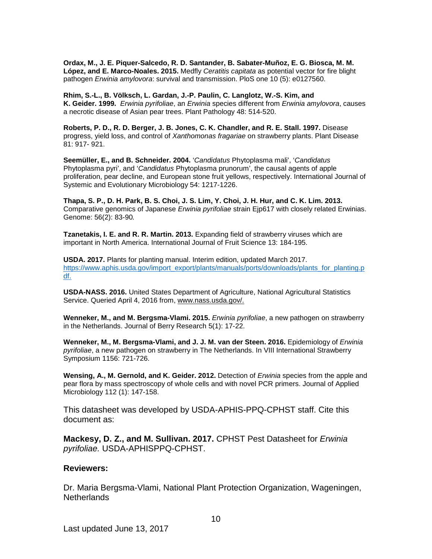**Ordax, M., J. E. Piquer-Salcedo, R. D. Santander, B. Sabater-Muñoz, E. G. Biosca, M. M. López, and E. Marco-Noales. 2015.** Medfly *Ceratitis capitata* as potential vector for fire blight pathogen *Erwinia amylovora*: survival and transmission. PloS one 10 (5): e0127560.

**Rhim, S.-L., B. Völksch, L. Gardan, J.-P. Paulin, C. Langlotz, W.-S. Kim, and K. Geider. 1999.** *Erwinia pyrifoliae*, an *Erwinia* species different from *Erwinia amylovora*, causes a necrotic disease of Asian pear trees. Plant Pathology 48: 514-520.

**Roberts, P. D., R. D. Berger, J. B. Jones, C. K. Chandler, and R. E. Stall. 1997.** Disease progress, yield loss, and control of *Xanthomonas fragariae* on strawberry plants. Plant Disease 81: 917- 921.

**Seemüller, E., and B. Schneider. 2004.** '*Candidatus* Phytoplasma mali', '*Candidatus*  Phytoplasma pyri', and '*Candidatus* Phytoplasma prunorum', the causal agents of apple proliferation, pear decline, and European stone fruit yellows, respectively. International Journal of Systemic and Evolutionary Microbiology 54: 1217-1226.

**Thapa, S. P., D. H. Park, B. S. Choi, J. S. Lim, Y. Choi, J. H. Hur, and C. K. Lim. 2013.** Comparative genomics of Japanese *Erwinia pyrifoliae* strain Ejp617 with closely related Erwinias. Genome: 56(2): 83-90*.*

**Tzanetakis, I. E. and R. R. Martin. 2013.** Expanding field of strawberry viruses which are important in North America. International Journal of Fruit Science 13: 184-195.

**USDA. 2017.** Plants for planting manual. Interim edition, updated March 2017. [https://www.aphis.usda.gov/import\\_export/plants/manuals/ports/downloads/plants\\_for\\_planting.p](https://www.aphis.usda.gov/import_export/plants/manuals/ports/downloads/plants_for_planting.pdf) [df.](https://www.aphis.usda.gov/import_export/plants/manuals/ports/downloads/plants_for_planting.pdf)

**USDA-NASS. 2016.** United States Department of Agriculture, [National Agricultural Statistics](http://www.nass.usda.gov/index.php)  [Service.](http://www.nass.usda.gov/index.php) Queried April 4, 2016 from[, www.nass.usda.gov/.](http://www.nass.usda.gov/)

**Wenneker, M., and M. Bergsma-Vlami. 2015.** *Erwinia pyrifoliae*, a new pathogen on strawberry in the Netherlands. Journal of Berry Research 5(1): 17-22.

**Wenneker, M., M. Bergsma-Vlami, and J. J. M. van der Steen. 2016.** Epidemiology of *Erwinia pyrifoliae*, a new pathogen on strawberry in The Netherlands. In VIII International Strawberry Symposium 1156: 721-726.

**Wensing, A., M. Gernold, and K. Geider. 2012.** Detection of *Erwinia* species from the apple and pear flora by mass spectroscopy of whole cells and with novel PCR primers. Journal of Applied Microbiology 112 (1): 147-158.

This datasheet was developed by USDA-APHIS-PPQ-CPHST staff. Cite this document as:

**Mackesy, D. Z., and M. Sullivan. 2017.** CPHST Pest Datasheet for *Erwinia pyrifoliae.* USDA-APHISPPQ-CPHST.

#### **Reviewers:**

Dr. Maria Bergsma-Vlami, National Plant Protection Organization, Wageningen, **Netherlands**